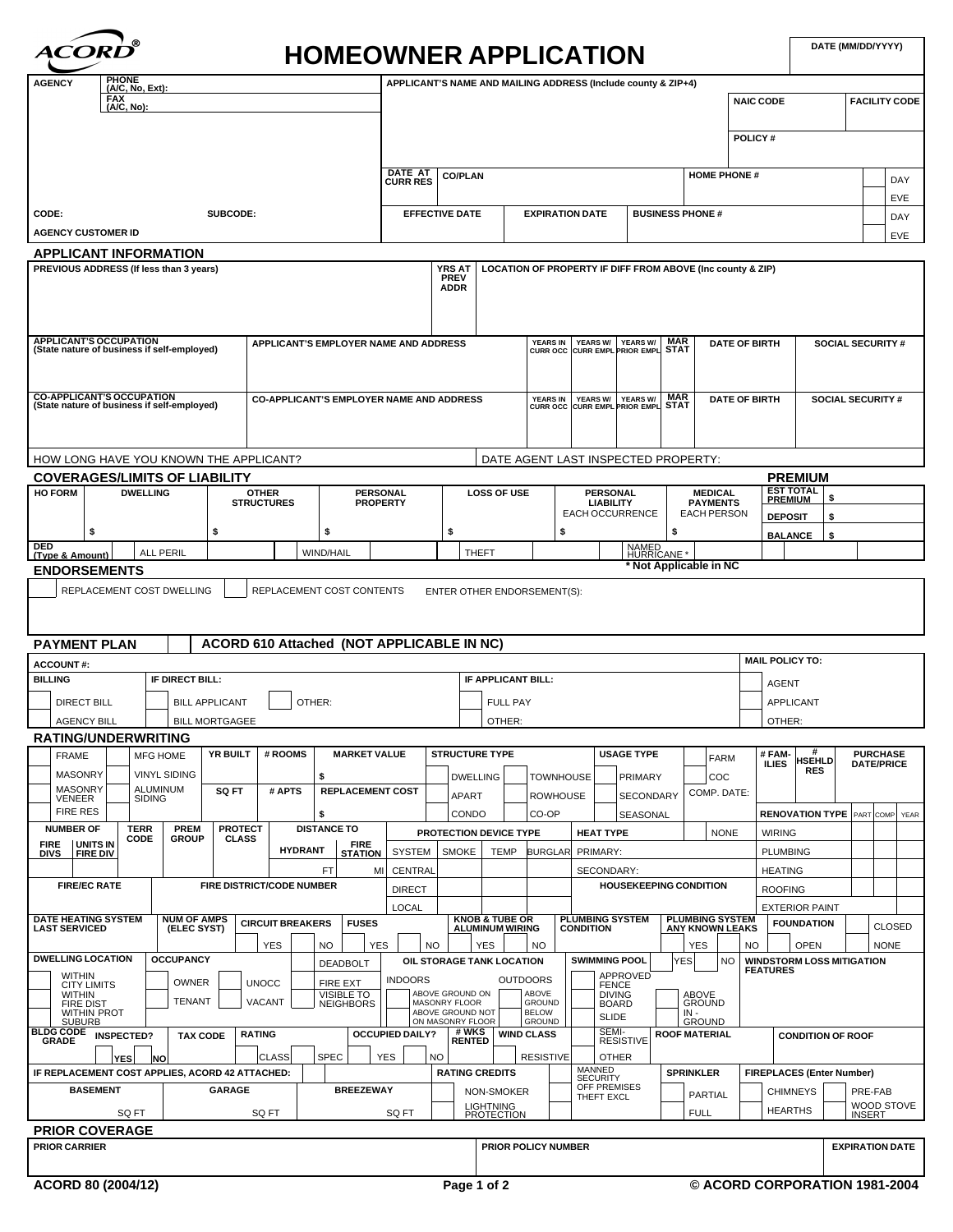| $^{\circ}$<br><b>HOMEOWNER APPLICATION</b>                                                                                                                               |                          |                                                         |                                                     |                                                                      |                                                                      |                                                               |                                                  |                                       |                                                     |                                          | DATE (MM/DD/YYYY)       |                                      |                      |
|--------------------------------------------------------------------------------------------------------------------------------------------------------------------------|--------------------------|---------------------------------------------------------|-----------------------------------------------------|----------------------------------------------------------------------|----------------------------------------------------------------------|---------------------------------------------------------------|--------------------------------------------------|---------------------------------------|-----------------------------------------------------|------------------------------------------|-------------------------|--------------------------------------|----------------------|
| <b>PHONE</b><br><b>AGENCY</b><br>(A/C, No, Ext):<br><b>FAX</b><br>(A/C, No):                                                                                             |                          |                                                         |                                                     |                                                                      |                                                                      | APPLICANT'S NAME AND MAILING ADDRESS (Include county & ZIP+4) |                                                  |                                       | <b>NAIC CODE</b>                                    |                                          |                         |                                      | <b>FACILITY CODE</b> |
|                                                                                                                                                                          |                          |                                                         |                                                     |                                                                      |                                                                      |                                                               |                                                  |                                       |                                                     |                                          |                         |                                      |                      |
|                                                                                                                                                                          |                          |                                                         |                                                     |                                                                      |                                                                      |                                                               |                                                  |                                       | POLICY#                                             |                                          |                         |                                      |                      |
|                                                                                                                                                                          | DATE AT<br>CURR RES      | <b>CO/PLAN</b>                                          |                                                     |                                                                      |                                                                      |                                                               |                                                  | <b>HOME PHONE#</b>                    |                                                     |                                          |                         |                                      |                      |
|                                                                                                                                                                          |                          |                                                         |                                                     |                                                                      |                                                                      |                                                               |                                                  |                                       |                                                     |                                          |                         |                                      | DAY<br>EVE           |
| CODE:<br>SUBCODE:                                                                                                                                                        |                          | <b>EFFECTIVE DATE</b>                                   |                                                     | <b>EXPIRATION DATE</b>                                               |                                                                      |                                                               | <b>BUSINESS PHONE #</b>                          |                                       |                                                     |                                          |                         |                                      | DAY                  |
| <b>AGENCY CUSTOMER ID</b>                                                                                                                                                |                          |                                                         |                                                     |                                                                      |                                                                      |                                                               |                                                  |                                       |                                                     |                                          |                         |                                      | EVE                  |
| <b>APPLICANT INFORMATION</b><br>PREVIOUS ADDRESS (If less than 3 years)                                                                                                  |                          | <b>YRS AT</b>                                           |                                                     |                                                                      |                                                                      | LOCATION OF PROPERTY IF DIFF FROM ABOVE (Inc county & ZIP)    |                                                  |                                       |                                                     |                                          |                         |                                      |                      |
|                                                                                                                                                                          |                          | <b>PREV</b><br><b>ADDR</b>                              |                                                     |                                                                      |                                                                      |                                                               |                                                  |                                       |                                                     |                                          |                         |                                      |                      |
|                                                                                                                                                                          |                          |                                                         |                                                     |                                                                      |                                                                      |                                                               |                                                  |                                       |                                                     |                                          |                         |                                      |                      |
| <b>APPLICANT'S OCCUPATION</b><br><b>APPLICANT'S EMPLOYER NAME AND ADDRESS</b><br>(State nature of business if self-employed)                                             |                          |                                                         |                                                     | YEARS IN YEARS W/ YEARS W/ MAR<br>CURR OCC CURR EMPL PRIOR EMPL STAT |                                                                      |                                                               |                                                  |                                       | <b>DATE OF BIRTH</b>                                |                                          | <b>SOCIAL SECURITY#</b> |                                      |                      |
|                                                                                                                                                                          |                          |                                                         |                                                     |                                                                      |                                                                      |                                                               |                                                  |                                       |                                                     |                                          |                         |                                      |                      |
| <b>CO-APPLICANT'S OCCUPATION</b><br><b>CO-APPLICANT'S EMPLOYER NAME AND ADDRESS</b><br>(State nature of business if self-employed)                                       |                          |                                                         |                                                     |                                                                      | YEARS IN YEARS W/ YEARS W/ MAR<br>CURR OCC CURR EMPL PRIOR EMPL STAT |                                                               |                                                  |                                       | <b>DATE OF BIRTH</b><br><b>SOCIAL SECURITY #</b>    |                                          |                         |                                      |                      |
|                                                                                                                                                                          |                          |                                                         |                                                     |                                                                      |                                                                      |                                                               |                                                  |                                       |                                                     |                                          |                         |                                      |                      |
|                                                                                                                                                                          |                          |                                                         |                                                     |                                                                      |                                                                      |                                                               |                                                  |                                       |                                                     |                                          |                         |                                      |                      |
| HOW LONG HAVE YOU KNOWN THE APPLICANT?                                                                                                                                   |                          |                                                         |                                                     |                                                                      |                                                                      | DATE AGENT LAST INSPECTED PROPERTY:                           |                                                  |                                       |                                                     |                                          |                         |                                      |                      |
| <b>COVERAGES/LIMITS OF LIABILITY</b><br><b>HO FORM</b><br><b>DWELLING</b><br><b>OTHER</b><br><b>PERSONAL</b>                                                             |                          |                                                         | <b>LOSS OF USE</b>                                  |                                                                      | <b>PERSONAL</b>                                                      |                                                               |                                                  | <b>MEDICAL</b>                        |                                                     | <b>PREMIUM</b><br><b>EST TOTAL</b><br>\$ |                         |                                      |                      |
| <b>STRUCTURES</b>                                                                                                                                                        | <b>PROPERTY</b>          |                                                         |                                                     |                                                                      | <b>LIABILITY</b><br><b>EACH OCCURRENCE</b>                           |                                                               |                                                  | <b>PAYMENTS</b><br><b>EACH PERSON</b> | <b>PREMIUM</b><br><b>DEPOSIT</b>                    | Ŝ                                        |                         |                                      |                      |
| \$<br>\$<br>\$                                                                                                                                                           |                          | \$                                                      |                                                     | \$                                                                   |                                                                      |                                                               | \$                                               |                                       | <b>BALANCE</b>                                      | \$                                       |                         |                                      |                      |
| DED<br><b>ALL PERIL</b><br><b>WIND/HAIL</b><br>(Type & Amount)                                                                                                           |                          | NAMED<br>HURRICANE *<br>THEFT<br>* Not Applicable in NC |                                                     |                                                                      |                                                                      |                                                               |                                                  |                                       |                                                     |                                          |                         |                                      |                      |
| <b>ENDORSEMENTS</b>                                                                                                                                                      |                          |                                                         |                                                     |                                                                      |                                                                      |                                                               |                                                  |                                       |                                                     |                                          |                         |                                      |                      |
| REPLACEMENT COST DWELLING<br>REPLACEMENT COST CONTENTS                                                                                                                   |                          |                                                         | ENTER OTHER ENDORSEMENT(S):                         |                                                                      |                                                                      |                                                               |                                                  |                                       |                                                     |                                          |                         |                                      |                      |
|                                                                                                                                                                          |                          |                                                         |                                                     |                                                                      |                                                                      |                                                               |                                                  |                                       |                                                     |                                          |                         |                                      |                      |
| ACORD 610 Attached (NOT APPLICABLE IN NC)<br><b>PAYMENT PLAN</b>                                                                                                         |                          |                                                         |                                                     |                                                                      |                                                                      |                                                               |                                                  |                                       |                                                     |                                          |                         |                                      |                      |
| <b>ACCOUNT#:</b><br><b>BILLING</b><br>IF DIRECT BILL:                                                                                                                    |                          |                                                         | IF APPLICANT BILL:                                  |                                                                      |                                                                      |                                                               |                                                  |                                       | <b>MAIL POLICY TO:</b>                              |                                          |                         |                                      |                      |
| <b>BILL APPLICANT</b><br>OTHER:<br><b>DIRECT BILL</b>                                                                                                                    |                          |                                                         | <b>FULL PAY</b>                                     |                                                                      |                                                                      |                                                               |                                                  |                                       | AGENT                                               | <b>APPLICANT</b>                         |                         |                                      |                      |
| <b>AGENCY BILL</b><br><b>BILL MORTGAGEE</b>                                                                                                                              |                          |                                                         | OTHER:                                              |                                                                      |                                                                      |                                                               |                                                  |                                       | OTHER:                                              |                                          |                         |                                      |                      |
| <b>RATING/UNDERWRITING</b>                                                                                                                                               |                          |                                                         |                                                     |                                                                      |                                                                      |                                                               |                                                  |                                       |                                                     | #                                        |                         |                                      |                      |
| <b>YR BUILT</b><br># ROOMS<br><b>MARKET VALUE</b><br><b>FRAME</b><br><b>MFG HOME</b><br><b>MASONRY</b><br><b>VINYL SIDING</b>                                            |                          | <b>STRUCTURE TYPE</b>                                   |                                                     |                                                                      |                                                                      | <b>USAGE TYPE</b>                                             |                                                  | <b>FARM</b>                           | #FAM-<br><b>ILIES</b>                               | <b>HSEHLD</b><br><b>RES</b>              |                         | <b>PURCHASE</b><br><b>DATE/PRICE</b> |                      |
| \$<br><b>MASONRY</b><br><b>ALUMINUM</b><br><b>SQ FT</b><br># APTS<br><b>REPLACEMENT COST</b><br><b>SIDING</b>                                                            |                          | <b>DWELLING</b><br>APART                                |                                                     | <b>TOWNHOUSE</b><br><b>ROWHOUSE</b>                                  |                                                                      | PRIMARY<br><b>SECONDARY</b>                                   |                                                  | COC<br>COMP. DATE:                    |                                                     |                                          |                         |                                      |                      |
| VENEER<br><b>FIRE RES</b><br>\$                                                                                                                                          |                          | CONDO                                                   |                                                     | CO-OP                                                                |                                                                      | SEASONAL                                                      |                                                  |                                       |                                                     | <b>RENOVATION TYPE</b> PART COMP YEAR    |                         |                                      |                      |
| <b>TERR</b><br><b>DISTANCE TO</b><br><b>NUMBER OF</b><br><b>PREM</b><br><b>PROTECT</b><br>CODE<br><b>GROUP</b><br><b>CLASS</b><br>UNITS IN<br><b>FIRE</b><br><b>FIRE</b> |                          |                                                         | PROTECTION DEVICE TYPE                              |                                                                      | <b>HEAT TYPE</b>                                                     |                                                               |                                                  | <b>NONE</b>                           | <b>WIRING</b>                                       |                                          |                         |                                      |                      |
| <b>HYDRANT</b><br><b>DIVS</b><br><b>FIRE DIV</b><br><b>STATION</b>                                                                                                       | <b>SYSTEM</b>            | <b>SMOKE</b>                                            | <b>TEMP</b>                                         |                                                                      | BURGLAR PRIMARY:                                                     |                                                               |                                                  |                                       | <b>PLUMBING</b>                                     |                                          |                         |                                      |                      |
| FT<br>МI<br><b>FIRE/EC RATE</b><br><b>FIRE DISTRICT/CODE NUMBER</b>                                                                                                      | CENTRAL<br><b>DIRECT</b> |                                                         |                                                     |                                                                      | SECONDARY:                                                           | <b>HOUSEKEEPING CONDITION</b>                                 |                                                  |                                       | <b>HEATING</b><br><b>ROOFING</b>                    |                                          |                         |                                      |                      |
|                                                                                                                                                                          | <b>LOCAL</b>             |                                                         |                                                     |                                                                      |                                                                      |                                                               |                                                  |                                       |                                                     | <b>EXTERIOR PAINT</b>                    |                         |                                      |                      |
| <b>DATE HEATING SYSTEM</b><br><b>NUM OF AMPS</b><br><b>CIRCUIT BREAKERS</b><br><b>FUSES</b><br><b>LAST SERVICED</b><br>(ELEC SYST)                                       |                          |                                                         | <b>KNOB &amp; TUBE OR</b><br><b>ALUMINUM WIRING</b> |                                                                      | <b>PLUMBING SYSTEM</b><br><b>CONDITION</b>                           |                                                               | <b>PLUMBING SYSTEM</b><br><b>ANY KNOWN LEAKS</b> |                                       |                                                     | <b>FOUNDATION</b>                        |                         |                                      | <b>CLOSED</b>        |
| <b>YES</b><br><b>NO</b><br><b>YES</b><br><b>DWELLING LOCATION</b><br><b>OCCUPANCY</b>                                                                                    | <b>NO</b>                |                                                         | <b>YES</b>                                          | <b>NO</b>                                                            | <b>SWIMMING POOL</b>                                                 |                                                               | <b>YES</b>                                       |                                       | NO                                                  | <b>OPEN</b>                              |                         | <b>NONE</b>                          |                      |
| <b>DEADBOLT</b><br>WITHIN<br><b>OWNER</b>                                                                                                                                | <b>INDOORS</b>           |                                                         | OIL STORAGE TANK LOCATION<br><b>OUTDOORS</b>        |                                                                      |                                                                      | APPROVED                                                      | YES                                              | <b>NO</b>                             | <b>WINDSTORM LOSS MITIGATION</b><br><b>FEATURES</b> |                                          |                         |                                      |                      |
| <b>UNOCC</b><br>FIRE EXT<br><b>CITY LIMITS</b><br><b>VISIBLE TO</b><br><b>WITHIN</b><br>TENANT<br>VACANT<br><b>NEIGHBORS</b><br><b>FIRE DIST</b>                         |                          | ABOVE GROUND ON<br>MASONRY FLOOR                        |                                                     | ABOVE<br><b>GROUND</b>                                               | <b>FENCE</b><br>DIVING<br>BOARD                                      |                                                               | <b>ABOVE</b>                                     | <b>GROUND</b>                         |                                                     |                                          |                         |                                      |                      |
| <b>WITHIN PROT</b><br><b>SUBURB</b>                                                                                                                                      |                          | ABOVE GROUND NOT<br>ON MASONRY FLOOR                    |                                                     | <b>BELOW</b><br><b>GROUND</b>                                        | <b>SLIDE</b>                                                         |                                                               | IN -<br>GROUND                                   |                                       |                                                     |                                          |                         |                                      |                      |
| <b>BLDG CODE</b><br><b>RATING</b><br><b>INSPECTED?</b><br><b>TAX CODE</b><br><b>GRADE</b>                                                                                | <b>OCCUPIED DAILY?</b>   | # WKS<br><b>RENTED</b>                                  |                                                     | <b>WIND CLASS</b>                                                    | SEMI-                                                                | <b>RESISTIVE</b>                                              | <b>ROOF MATERIAL</b>                             |                                       |                                                     | <b>CONDITION OF ROOF</b>                 |                         |                                      |                      |
| <b>SPEC</b><br>CLASS<br><b>YES</b><br> NO<br>IF REPLACEMENT COST APPLIES, ACORD 42 ATTACHED:                                                                             | <b>YES</b>               | <b>NO</b><br><b>RATING CREDITS</b>                      |                                                     | <b>RESISTIVE</b>                                                     | <b>OTHER</b><br>MANNED                                               |                                                               | <b>SPRINKLER</b>                                 |                                       | <b>FIREPLACES (Enter Number)</b>                    |                                          |                         |                                      |                      |
| <b>BASEMENT</b><br><b>GARAGE</b><br><b>BREEZEWAY</b>                                                                                                                     |                          |                                                         | NON-SMOKER                                          |                                                                      | <b>SECURITY</b><br>OFF PREMISES<br>THEFT EXCL                        |                                                               |                                                  | <b>PARTIAL</b>                        |                                                     | <b>CHIMNEYS</b>                          |                         | PRE-FAB                              |                      |
| SQ FT<br>SQ FT                                                                                                                                                           | SQ FT                    |                                                         | <b>LIGHTNING</b><br><b>PROTECTION</b>               |                                                                      |                                                                      |                                                               | <b>FULL</b>                                      |                                       | <b>HEARTHS</b>                                      |                                          | <b>INSERT</b>           |                                      | WOOD STOVE           |
| <b>PRIOR COVERAGE</b>                                                                                                                                                    |                          |                                                         |                                                     |                                                                      |                                                                      |                                                               |                                                  |                                       |                                                     |                                          |                         |                                      |                      |
| <b>PRIOR CARRIER</b>                                                                                                                                                     |                          |                                                         | <b>PRIOR POLICY NUMBER</b>                          |                                                                      |                                                                      |                                                               |                                                  |                                       |                                                     |                                          | <b>EXPIRATION DATE</b>  |                                      |                      |
| ACORD 80 (2004/12)                                                                                                                                                       |                          | Page 1 of 2                                             |                                                     |                                                                      |                                                                      |                                                               |                                                  |                                       | © ACORD CORPORATION 1981-2004                       |                                          |                         |                                      |                      |